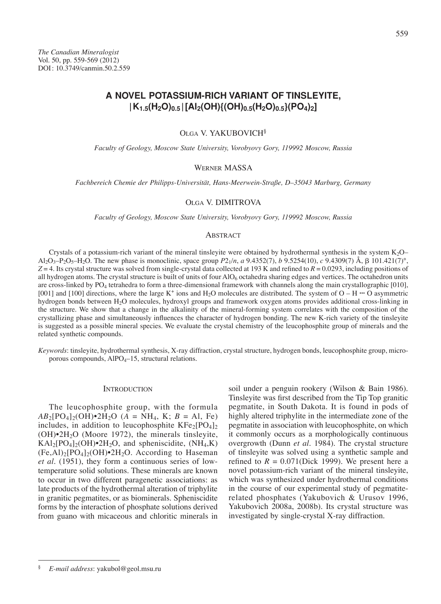# **A NOVEL POTASSIUM-RICH VARIANT OF TINSLEYITE, |K1.5(H2O)0.5 |[Al2(OH){(OH)0.5(H2O)0.5}(PO4)2]**

Olga V. YAKUBOVICH§

*Faculty of Geology, Moscow State University, Vorobyovy Gory, 119992 Moscow, Russia*

# Werner MASSA

*Fachbereich Chemie der Philipps-Universität, Hans-Meerwein-Straße, D–35043 Marburg, Germany*

#### Olga V. DIMITROVA

*Faculty of Geology, Moscow State University, Vorobyovy Gory, 119992 Moscow, Russia*

## **ABSTRACT**

Crystals of a potassium-rich variant of the mineral tinsleyite were obtained by hydrothermal synthesis in the system  $K_2O-$ Al<sub>2</sub>O<sub>3</sub>–P<sub>2</sub>O<sub>5</sub>–H<sub>2</sub>O. The new phase is monoclinic, space group *P*2<sub>1</sub>/*n*, *a* 9.4352(7), *b* 9.5254(10), *c* 9.4309(7) Å,  $\beta$  101.421(7)°, *Z* = 4. Its crystal structure was solved from single-crystal data collected at 193 K and refined to *R* = 0.0293, including positions of all hydrogen atoms. The crystal structure is built of units of four  $AIO<sub>6</sub>$  octahedra sharing edges and vertices. The octahedron units are cross-linked by PO<sub>4</sub> tetrahedra to form a three-dimensional framework with channels along the main crystallographic [010], [001] and [100] directions, where the large K<sup>+</sup> ions and H<sub>2</sub>O molecules are distributed. The system of  $O - H \cdots O$  asymmetric hydrogen bonds between H2O molecules, hydroxyl groups and framework oxygen atoms provides additional cross-linking in the structure. We show that a change in the alkalinity of the mineral-forming system correlates with the composition of the crystallizing phase and simultaneously influences the character of hydrogen bonding. The new K-rich variety of the tinsleyite is suggested as a possible mineral species. We evaluate the crystal chemistry of the leucophosphite group of minerals and the related synthetic compounds.

*Keywords*: tinsleyite, hydrothermal synthesis, X-ray diffraction, crystal structure, hydrogen bonds, leucophosphite group, microporous compounds,  $AIPO<sub>4</sub>$ –15, structural relations.

### **INTRODUCTION**

The leucophosphite group, with the formula  $AB_2[PO_4]_2(OH) \cdot 2H_2O$  (*A* = NH<sub>4</sub>, K; *B* = Al, Fe) includes, in addition to leucophosphite  $KFe<sub>2</sub>[PO<sub>4</sub>]<sub>2</sub>$  $(OH)\cdot 2H_2O$  (Moore 1972), the minerals tinsleyite,  $KAl<sub>2</sub>[PO<sub>4</sub>]<sub>2</sub>(OH)<sup>•</sup>2H<sub>2</sub>O$ , and spheniscidite,  $(NH<sub>4</sub>, K)$  $(Fe, A1)_2[PO_4]_2(OH) \cdot 2H_2O$ . According to Haseman *et al.* (1951), they form a continuous series of lowtemperature solid solutions. These minerals are known to occur in two different paragenetic associations: as late products of the hydrothermal alteration of triphylite in granitic pegmatites, or as biominerals. Spheniscidite forms by the interaction of phosphate solutions derived from guano with micaceous and chloritic minerals in

soil under a penguin rookery (Wilson & Bain 1986). Tinsleyite was first described from the Tip Top granitic pegmatite, in South Dakota. It is found in pods of highly altered triphylite in the intermediate zone of the pegmatite in association with leucophosphite, on which it commonly occurs as a morphologically continuous overgrowth (Dunn *et al.* 1984). The crystal structure of tinsleyite was solved using a synthetic sample and refined to  $R = 0.071$ (Dick 1999). We present here a novel potassium-rich variant of the mineral tinsleyite, which was synthesized under hydrothermal conditions in the course of our experimental study of pegmatiterelated phosphates (Yakubovich & Urusov 1996, Yakubovich 2008a, 2008b). Its crystal structure was investigated by single-crystal X-ray diffraction.

<sup>§</sup> *E-mail address*: yakubol@geol.msu.ru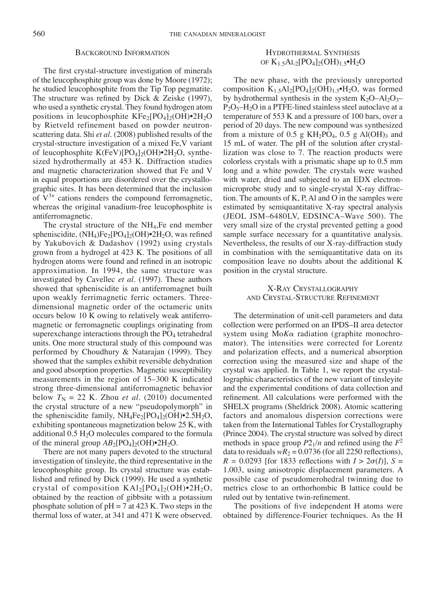#### Background Information

The first crystal-structure investigation of minerals of the leucophosphite group was done by Moore (1972); he studied leucophosphite from the Tip Top pegmatite. The structure was refined by Dick & Zeiske (1997), who used a synthetic crystal. They found hydrogen atom positions in leucophosphite  $KFe<sub>2</sub>[PO<sub>4</sub>]<sub>2</sub>(OH)<sup>•</sup>2H<sub>2</sub>O$ by Rietveld refinement based on powder neutronscattering data. Shi *et al.* (2008) published results of the crystal-structure investigation of a mixed Fe,V variant of leucophosphite  $K(FeV)[PO<sub>4</sub>]<sub>2</sub>(OH)<sup>•</sup>2H<sub>2</sub>O$ , synthesized hydrothermally at 453 K. Diffraction studies and magnetic characterization showed that Fe and V in equal proportions are disordered over the crystallographic sites. It has been determined that the inclusion of  $V^{3+}$  cations renders the compound ferromagnetic, whereas the original vanadium-free leucophosphite is antiferromagnetic.

The crystal structure of the NH4,Fe end member spheniscidite,  $(NH_4)Fe_2[PO_4]_2(OH)\cdot 2H_2O$ , was refined by Yakubovich & Dadashov (1992) using crystals grown from a hydrogel at 423 K. The positions of all hydrogen atoms were found and refined in an isotropic approximation. In 1994, the same structure was investigated by Cavellec *et al.* (1997). These authors showed that spheniscidite is an antiferromagnet built upon weakly ferrimagnetic ferric octamers. Threedimensional magnetic order of the octameric units occurs below 10 K owing to relatively weak antiferromagnetic or ferromagnetic couplings originating from superexchange interactions through the PO<sub>4</sub> tetrahedral units. One more structural study of this compound was performed by Choudhury & Natarajan (1999). They showed that the samples exhibit reversible dehydration and good absorption properties. Magnetic susceptibility measurements in the region of 15–300 K indicated strong three-dimensional antiferromagnetic behavior below  $T_N = 22$  K. Zhou *et al.* (2010) documented the crystal structure of a new "pseudopolymorph" in the spheniscidite family,  $NH_4Fe_2[PO_4]_2(OH)\cdot 2.5H_2O$ , exhibiting spontaneous magnetization below 25 K, with additional  $0.5 \text{ H}_2\text{O}$  molecules compared to the formula of the mineral group  $AB_2[PO_4]_2(OH)\cdot 2H_2O$ .

There are not many papers devoted to the structural investigation of tinsleyite, the third representative in the leucophosphite group. Its crystal structure was established and refined by Dick (1999). He used a synthetic crystal of composition  $\text{KAl}_2[\text{PO}_4]_2(\text{OH}) \cdot 2\text{H}_2\text{O}$ , obtained by the reaction of gibbsite with a potassium phosphate solution of  $pH = 7$  at 423 K. Two steps in the thermal loss of water, at 341 and 471 K were observed.

# Hydrothermal Synthesis OF  $K_{1.5}AL_2[PO_4]_2(OH)_{1.5}$ •H<sub>2</sub>O

The new phase, with the previously unreported composition  $K_{1.5}Al_2[PO_4]_2(OH)_{1.5} \cdot H_2O$ , was formed by hydrothermal synthesis in the system  $K_2O-Al_2O_3 P_2O_5$ –H<sub>2</sub>O in a PTFE-lined stainless steel autoclave at a temperature of 553 K and a pressure of 100 bars, over a period of 20 days. The new compound was synthesized from a mixture of 0.5 g  $KH_2PO_4$ , 0.5 g Al(OH)<sub>3</sub> and 15 mL of water. The pH of the solution after crystallization was close to 7. The reaction products were colorless crystals with a prismatic shape up to 0.5 mm long and a white powder. The crystals were washed with water, dried and subjected to an EDX electronmicroprobe study and to single-crystal X-ray diffraction. The amounts of K, P, Al and O in the samples were estimated by semiquantitative X-ray spectral analysis (JEOL JSM–6480LV, EDSINCA–Wave 500). The very small size of the crystal prevented getting a good sample surface necessary for a quantitative analysis. Nevertheless, the results of our X-ray-diffraction study in combination with the semiquantitative data on its composition leave no doubts about the additional K position in the crystal structure.

# X-Ray Crystallography and Crystal-Structure Refinement

The determination of unit-cell parameters and data collection were performed on an IPDS–II area detector system using Mo*K*a radiation (graphite monochromator). The intensities were corrected for Lorentz and polarization effects, and a numerical absorption correction using the measured size and shape of the crystal was applied. In Table 1, we report the crystallographic characteristics of the new variant of tinsleyite and the experimental conditions of data collection and refinement. All calculations were performed with the SHELX programs (Sheldrick 2008). Atomic scattering factors and anomalous dispersion corrections were taken from the International Tables for Crystallography (Prince 2004). The crystal structure was solved by direct methods in space group  $P2_1/n$  and refined using the  $F^2$ data to residuals  $wR_2 = 0.0736$  (for all 2250 reflections),  $R = 0.0293$  [for 1833 reflections with  $I > 2\sigma(I)$ ],  $S =$ 1.003, using anisotropic displacement parameters. A possible case of pseudomerohedral twinning due to metrics close to an orthorhombic B lattice could be ruled out by tentative twin-refinement.

The positions of five independent H atoms were obtained by difference-Fourier techniques. As the H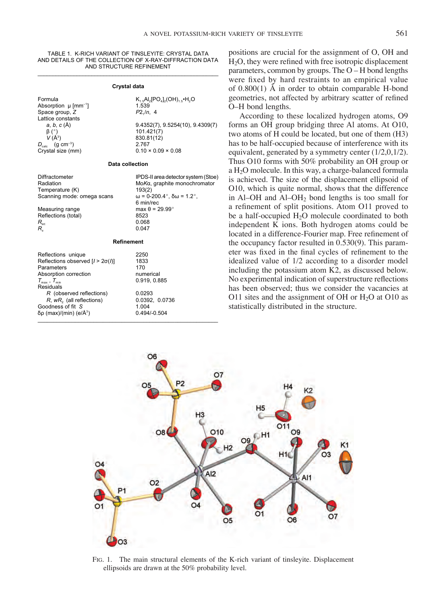TABLE 1. K-RICH VARIANT OF TINSLEYITE: CRYSTAL DATA AND DETAILS OF THE COLLECTION OF X-RAY-DIFFRACTION DATA AND STRUCTURE REFINEMENT

# \_\_\_\_\_\_\_\_\_\_\_\_\_\_\_\_\_\_\_\_\_\_\_\_\_\_\_\_\_\_\_\_\_\_\_\_\_\_\_\_\_\_\_\_\_\_\_\_\_\_\_\_\_\_\_\_\_\_\_\_ **Crystal data**

Absorption  $\mu$  [mm<sup>-1</sup>]  $\qquad \qquad$  1.539<br>Space group, Z  $P2_1/n$ , 4 Space group, Z Lattice constants<br> $a, b, c$  (Å)  $\beta$  (°)  $101.421(7)$ <br>  $V(A^3)$  830.81(12)  $V(\AA^3)$  830.81(12)<br> $D_{\text{min}}$  (q cm<sup>-3</sup>) 2.767  $D_{\text{calc}}$  (g cm<sup>-3</sup>)<br>Crystal size (mm)

Formula  $K_{1.5}Al_2[PO_4]_2(OH)_{1.5} \cdot H_2O$ <br>Absorption u [mm<sup>-1</sup>] 1.539 *a*, *b*, *c* (Å) 9.4352(7), 9.5254(10), 9.4309(7)  $β (°)$  101.421(7)  $0.10 \times 0.09 \times 0.08$ 

#### **Data collection**

Temperature (K)  $193(2)$ <br>Scanning mode: omega scans  $\omega = 0.200.4^{\circ}$ ,  $\delta \omega = 1.2^{\circ}$ , Scanning mode: omega scans

Measuring range max max in the max in the 29.999 max in the 20.999 max in the 20.999 max in the 20.999 max in the 20.999 max in the 20.999 max in the 20.999 max in the 20.999 max in the 20.999 max in the 20.999 max in the Reflections (total) 8523<br>R... 8608  $R_{\text{int}}$  0.068 *Rs* 0.047

#### **Refinement**

| Reflections unique                      | 2250           |
|-----------------------------------------|----------------|
| Reflections observed $[1 > 2\sigma(1)]$ | 1833           |
| Parameters                              | 170            |
| Absorption correction                   | numerical      |
| $T_{\text{max}}$ , $T_{\text{min}}$     | 0.919, 0.885   |
| Residuals                               |                |
| R (observed reflections)                | 0.0293         |
| $R$ , $wR$ , (all reflections)          | 0.0392, 0.0736 |
| Goodness of fit S                       | 1.004          |
| δρ (max)/(min) (e/Å <sup>3</sup> )      | $0.494/-0.504$ |
|                                         |                |

Diffractometer IPDS-II area detector system (Stoe)<br>
Radiation **IPDS-II area detector system (Stoe)** Mo*K*α, graphite monochromator<br>193(2) 6 min/rec<br>max θ = 29.99°

| 2250           |  |
|----------------|--|
| 1833           |  |
| 170            |  |
| numerical      |  |
| 0.919, 0.885   |  |
|                |  |
| 0.0293         |  |
| 0.0392, 0.0736 |  |
| 1.004          |  |
| 0.10110E04     |  |

positions are crucial for the assignment of O, OH and H2O, they were refined with free isotropic displacement parameters, common by groups. The O – H bond lengths were fixed by hard restraints to an empirical value of 0.800(1) Å in order to obtain comparable H-bond geometries, not affected by arbitrary scatter of refined O–H bond lengths.

According to these localized hydrogen atoms, O9 forms an OH group bridging three Al atoms. At O10, two atoms of H could be located, but one of them (H3) has to be half-occupied because of interference with its equivalent, generated by a symmetry center (1/2,0,1/2). Thus O10 forms with 50% probability an OH group or a H2O molecule. In this way, a charge-balanced formula is achieved. The size of the displacement ellipsoid of O10, which is quite normal, shows that the difference in Al–OH and Al–OH2 bond lengths is too small for a refinement of split positions. Atom O11 proved to be a half-occupied  $H<sub>2</sub>O$  molecule coordinated to both independent K ions. Both hydrogen atoms could be located in a difference-Fourier map. Free refinement of the occupancy factor resulted in 0.530(9). This parameter was fixed in the final cycles of refinement to the idealized value of 1/2 according to a disorder model including the potassium atom K2, as discussed below. No experimental indication of superstructure reflections has been observed; thus we consider the vacancies at O11 sites and the assignment of OH or  $H<sub>2</sub>O$  at O10 as statistically distributed in the structure.



Fig. 1. The main structural elements of the K-rich variant of tinsleyite. Displacement ellipsoids are drawn at the 50% probability level.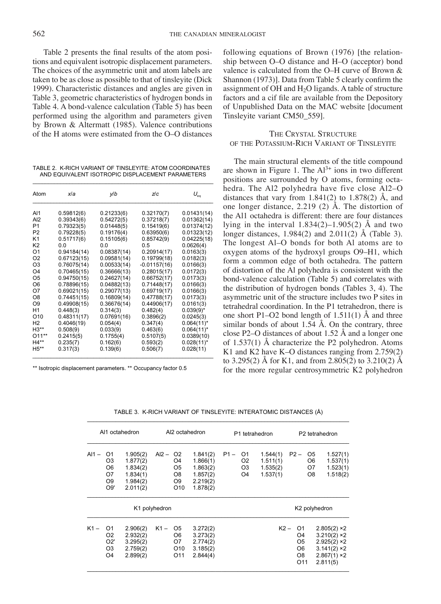Table 2 presents the final results of the atom positions and equivalent isotropic displacement parameters. The choices of the asymmetric unit and atom labels are taken to be as close as possible to that of tinsleyite (Dick 1999). Characteristic distances and angles are given in Table 3, geometric characteristics of hydrogen bonds in Table 4. A bond-valence calculation (Table 5) has been performed using the algorithm and parameters given by Brown & Altermatt (1985). Valence contributions of the H atoms were estimated from the O–O distances

TABLE 2. K-RICH VARIANT OF TINSLEYITE: ATOM COORDINATES AND EQUIVALENT ISOTROPIC DISPLACEMENT PARAMETERS \_\_\_\_\_\_\_\_\_\_\_\_\_\_\_\_\_\_\_\_\_\_\_\_\_\_\_\_\_\_\_\_\_\_\_\_\_\_\_\_\_\_\_\_\_\_\_\_\_\_\_\_\_\_\_\_\_\_\_

| Atom            | xla         | y/b         | Z/c            | $U_{\scriptscriptstyle{\text{an}}}$ |
|-----------------|-------------|-------------|----------------|-------------------------------------|
| AI1             | 0.59812(6)  | 0.21233(6)  | 0.32170(7)     | 0.01431(14)                         |
| AI2             | 0.39343(6)  | 0.54272(5)  | 0.37218(7)     | 0.01362(14)                         |
| P <sub>1</sub>  | 0.79323(5)  | 0.01448(5)  | 0.15419(6)     | 0.01374(12)                         |
| P <sub>2</sub>  | 0.79228(5)  | 0.19176(4)  | 0.63950(6)     | 0.01323(12)                         |
| K <sub>1</sub>  | 0.51717(6)  | 0.15105(6)  | 0.85742(9)     | 0.04225(18)                         |
| K <sub>2</sub>  | 0.0         | 0.0         | 0.5            | 0.0626(4)                           |
| O1              | 0.94184(14) | 0.08387(14) | 0.20914(17)    | 0.0163(3)                           |
| O <sub>2</sub>  | 0.67123(15) | 0.09581(14) | 0.19799(18)    | 0.0182(3)                           |
| O <sub>3</sub>  | 0.76075(14) | 0.00533(14) | $-0.01157(16)$ | 0.0166(3)                           |
| O <sub>4</sub>  | 0.70465(15) | 0.36666(13) | 0.28015(17)    | 0.0172(3)                           |
| O <sub>5</sub>  | 0.94750(15) | 0.24627(14) | 0.66752(17)    | 0.0173(3)                           |
| O <sub>6</sub>  | 0.78896(15) | 0.04882(13) | 0.71448(17)    | 0.0166(3)                           |
| O7              | 0.69021(15) | 0.29077(13) | 0.69719(17)    | 0.0166(3)                           |
| O <sub>8</sub>  | 0.74451(15) | 0.16809(14) | 0.47788(17)    | 0.0173(3)                           |
| O <sub>9</sub>  | 0.49908(15) | 0.36676(14) | 0.44906(17)    | 0.0161(3)                           |
| H <sub>1</sub>  | 0.448(3)    | 0.314(3)    | 0.482(4)       | $0.039(9)$ *                        |
| O <sub>10</sub> | 0.48311(17) | 0.07691(16) | 0.3896(2)      | 0.0245(3)                           |
| H <sub>2</sub>  | 0.4046(19)  | 0.054(4)    | 0.347(4)       | $0.064(11)^*$                       |
| $H3**$          | 0.508(9)    | 0.033(9)    | 0.463(6)       | $0.064(11)^*$                       |
| $011**$         | 0.2415(5)   | 0.1755(4)   | 0.5107(5)      | 0.0389(10)                          |
| $H4**$          | 0.235(7)    | 0.162(6)    | 0.593(2)       | $0.028(11)^*$                       |
| $H5**$          | 0.317(3)    | 0.139(6)    | 0.506(7)       | 0.028(11)                           |

\*\* Isotropic displacement parameters. \*\* Occupancy factor 0.5

following equations of Brown (1976) [the relationship between O–O distance and H–O (acceptor) bond valence is calculated from the O–H curve of Brown & Shannon (1973)]. Data from Table 5 clearly confirm the assignment of OH and  $H<sub>2</sub>O$  ligands. A table of structure factors and a cif file are available from the Depository of Unpublished Data on the MAC website [document Tinsleyite variant CM50\_559].

# The Crystal Structure of the Potassium-Rich Variant of Tinsleyite

The main structural elements of the title compound are shown in Figure 1. The  $Al^{3+}$  ions in two different positions are surrounded by O atoms, forming octahedra. The Al2 polyhedra have five close Al2–O distances that vary from  $1.841(2)$  to  $1.878(2)$  Å, and one longer distance, 2.219 (2) Å. The distortion of the Al1 octahedra is different: there are four distances lying in the interval  $1.834(2)$ –1.905(2) Å and two longer distances, 1.984(2) and 2.011(2) Å (Table 3). The longest Al–O bonds for both Al atoms are to oxygen atoms of the hydroxyl groups O9–H1, which form a common edge of both octahedra. The pattern of distortion of the Al polyhedra is consistent with the bond-valence calculation (Table 5) and correlates with the distribution of hydrogen bonds (Tables 3, 4). The asymmetric unit of the structure includes two P sites in tetrahedral coordination. In the P1 tetrahedron, there is one short P1–O2 bond length of  $1.511(1)$  Å and three similar bonds of about 1.54 Å. On the contrary, three close P2–O distances of about 1.52 Å and a longer one of 1.537(1) Å characterize the P2 polyhedron. Atoms K1 and K2 have K–O distances ranging from 2.759(2) to 3.295(2) Å for K1, and from 2.805(2) to 3.210(2) Å for the more regular centrosymmetric K2 polyhedron

|         | Al1 octahedron                                                        |                                                                      | Al <sub>2</sub> octahedron |                                                                                   | P1 tetrahedron                                                       |        |                                  |                                              | P <sub>2</sub> tetrahedron                                            |                                  |                                                                                               |
|---------|-----------------------------------------------------------------------|----------------------------------------------------------------------|----------------------------|-----------------------------------------------------------------------------------|----------------------------------------------------------------------|--------|----------------------------------|----------------------------------------------|-----------------------------------------------------------------------|----------------------------------|-----------------------------------------------------------------------------------------------|
| $AI1 -$ | O1<br>O <sub>3</sub><br>O <sub>6</sub><br>O7<br>O <sub>9</sub><br>O9' | 1.905(2)<br>1.877(2)<br>1.834(2)<br>1.834(1)<br>1.984(2)<br>2.011(2) | $Al2 -$                    | O <sub>2</sub><br>O4<br>O <sub>5</sub><br>O8<br>O <sub>9</sub><br>O <sub>10</sub> | 1.841(2)<br>1.866(1)<br>1.863(2)<br>1.857(2)<br>2.219(2)<br>1.878(2) | $P1 -$ | O1<br>O2<br>O3<br>O <sub>4</sub> | 1.544(1)<br>1.511(1)<br>1.535(2)<br>1.537(1) | $P2 -$                                                                | O5<br>O6<br>O7<br>O <sub>8</sub> | 1.527(1)<br>1.537(1)<br>1.523(1)<br>1.518(2)                                                  |
|         |                                                                       |                                                                      | K1 polyhedron              |                                                                                   |                                                                      |        |                                  |                                              |                                                                       |                                  | K2 polyhedron                                                                                 |
| $K1 -$  | O1<br>O <sub>2</sub><br>O2'<br>O <sub>3</sub><br>O <sub>4</sub>       | 2.906(2)<br>2.932(2)<br>3.295(2)<br>2.759(2)<br>2.899(2)             | $K1 -$                     | O5<br>O6<br>O7<br>O <sub>10</sub><br>O <sub>11</sub>                              | 3.272(2)<br>3.273(2)<br>2.774(2)<br>3.185(2)<br>2.844(4)             |        |                                  | $K2 -$                                       | O1<br>O4<br>O5<br>O <sub>6</sub><br>O <sub>8</sub><br>O <sub>11</sub> |                                  | $2.805(2)$ ×2<br>$3.210(2)$ ×2<br>$2.925(2)$ ×2<br>$3.141(2)$ ×2<br>$2.867(1)$ ×2<br>2.811(5) |

TABLE 3. K-RICH VARIANT OF TINSLEYITE: INTERATOMIC DISTANCES (Å) \_\_\_\_\_\_\_\_\_\_\_\_\_\_\_\_\_\_\_\_\_\_\_\_\_\_\_\_\_\_\_\_\_\_\_\_\_\_\_\_\_\_\_\_\_\_\_\_\_\_\_\_\_\_\_\_\_\_\_\_\_\_\_\_\_\_\_\_\_\_\_\_\_\_\_\_\_\_\_\_\_\_\_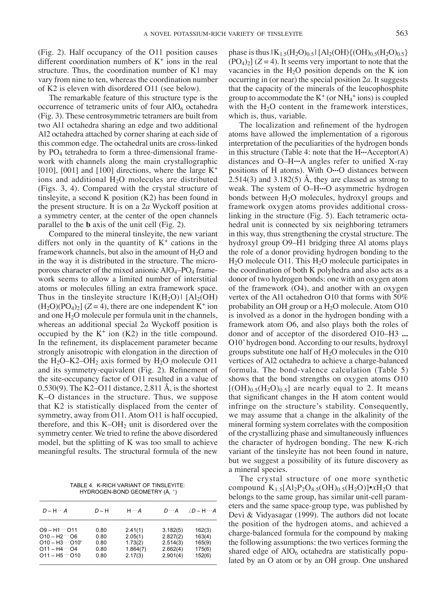(Fig. 2). Half occupancy of the O11 position causes different coordination numbers of  $K^+$  ions in the real structure. Thus, the coordination number of K1 may vary from nine to ten, whereas the coordination number of K2 is eleven with disordered O11 (see below).

The remarkable feature of this structure type is the occurrence of tetrameric units of four  $AIO<sub>6</sub>$  octahedra (Fig. 3). These centrosymmetric tetramers are built from two Al1 octahedra sharing an edge and two additional Al2 octahedra attached by corner sharing at each side of this common edge. The octahedral units are cross-linked by PO4 tetrahedra to form a three-dimensional framework with channels along the main crystallographic [010], [001] and [100] directions, where the large  $K^+$ ions and additional  $H<sub>2</sub>O$  molecules are distributed (Figs. 3, 4). Compared with the crystal structure of tinsleyite, a second K position (K2) has been found in the present structure. It is on a 2*a* Wyckoff position at a symmetry center, at the center of the open channels parallel to the **b** axis of the unit cell (Fig. 2).

Compared to the mineral tinsleyite, the new variant differs not only in the quantity of  $K^+$  cations in the framework channels, but also in the amount of  $H_2O$  and in the way it is distributed in the structure. The microporous character of the mixed anionic  $AlO_4$ – $PO_4$  framework seems to allow a limited number of interstitial atoms or molecules filling an extra framework space. Thus in the tinsleyite structure  $|K(H_2O)|$   $[A]<sub>2</sub>(OH)$  $(H_2O)(PO_4)_2$  ( $Z = 4$ ), there are one independent K<sup>+</sup> ion and one  $H_2O$  molecule per formula unit in the channels, whereas an additional special 2*a* Wyckoff position is occupied by the  $K^+$  ion  $(K2)$  in the title compound. In the refinement, its displacement parameter became strongly anisotropic with elongation in the direction of the  $H_2O-K2-OH_2$  axis formed by  $H_2O$  molecule O11 and its symmetry-equivalent (Fig. 2). Refinement of the site-occupancy factor of O11 resulted in a value of  $0.530(9)$ . The K2–O11 distance, 2.811 Å, is the shortest K–O distances in the structure. Thus, we suppose that K2 is statistically displaced from the center of symmetry, away from O11. Atom O11 is half occupied, therefore, and this  $K-OH<sub>2</sub>$  unit is disordered over the symmetry center. We tried to refine the above disordered model, but the splitting of K was too small to achieve meaningful results. The structural formula of the new

TABLE 4. K-RICH VARIANT OF TINSLEYITE: HYDROGEN-BOND GEOMETRY (Å, °)

| D – H | $H \cdots A$ | $D \cdots A$       | $/D - H - A$         |
|-------|--------------|--------------------|----------------------|
| 0.80  | 2.41(1)      | 3.182(5)           | 162(3)               |
| 0.80  | 1.73(2)      | 2.514(3)           | 163(4)<br>165(9)     |
| 0.80  | 1.864(7)     | 2.662(4)           | 175(6)<br>152(6)     |
|       | 0.80<br>0.80 | 2.05(1)<br>2.17(3) | 2.827(2)<br>2.901(4) |

phase is thus  $|K_{1,5}(H_2O)_{0,5}|$   $[A_2(OH)\{(OH)_{0,5}(H_2O)_{0,5}\}$  $(PO_4)_2$   $(Z = 4)$ . It seems very important to note that the vacancies in the  $H_2O$  position depends on the K ion occurring in (or near) the special position 2*a*. It suggests that the capacity of the minerals of the leucophosphite group to accommodate the  $K^+$  (or  $NH_4^+$  ions) is coupled with the  $H<sub>2</sub>O$  content in the framework interstices, which is, thus, variable.

The localization and refinement of the hydrogen atoms have allowed the implementation of a rigorous interpretation of the peculiarities of the hydrogen bonds in this structure (Table 4: note that the H**...**Acceptor(A) distances and O–H**...**A angles refer to unified X-ray positions of H atoms). With O**...**O distances between  $2.514(3)$  and  $3.182(5)$  Å, they are classed as strong to weak. The system of O–H**...**O asymmetric hydrogen bonds between H2O molecules, hydroxyl groups and framework oxygen atoms provides additional crosslinking in the structure (Fig. 5). Each tetrameric octahedral unit is connected by six neighboring tetramers in this way, thus strengthening the crystal structure. The hydroxyl group O9–H1 bridging three Al atoms plays the role of a donor providing hydrogen bonding to the  $H<sub>2</sub>O$  molecule O11. This  $H<sub>2</sub>O$  molecule participates in the coordination of both K polyhedra and also acts as a donor of two hydrogen bonds: one with an oxygen atom of the framework (O4), and another with an oxygen vertex of the Al1 octahedron O10 that forms with 50% probability an OH group or a  $H<sub>2</sub>O$  molecule. Atom O10 is involved as a donor in the hydrogen bonding with a framework atom O6, and also plays both the roles of donor and of acceptor of the disordered O10–H3 **...** O10' hydrogen bond. According to our results, hydroxyl groups substitute one half of  $H_2O$  molecules in the O10 vertices of Al2 octahedra to achieve a charge-balanced formula. The bond-valence calculation (Table 5) shows that the bond strengths on oxygen atoms O10  $[(OH)_{0.5}(H_2O)_{0.5}]$  are nearly equal to 2. It means that significant changes in the H atom content would infringe on the structure's stability. Consequently, we may assume that a change in the alkalinity of the mineral forming system correlates with the composition of the crystallizing phase and simultaneously influences the character of hydrogen bonding. The new K-rich variant of the tinsleyite has not been found in nature, but we suggest a possibility of its future discovery as a mineral species.

The crystal structure of one more synthetic compound  $K_{1.5}[Al_2P_2O_{8.5}(OH)_{0.5}(H_2O)] \cdot xH_2O$  that belongs to the same group, has similar unit-cell parameters and the same space-group type, was published by Devi & Vidyasagar (1999). The authors did not locate the position of the hydrogen atoms, and achieved a charge-balanced formula for the compound by making the following assumptions: the two vertices forming the shared edge of  $AIO<sub>6</sub>$  octahedra are statistically populated by an O atom or by an OH group. One unshared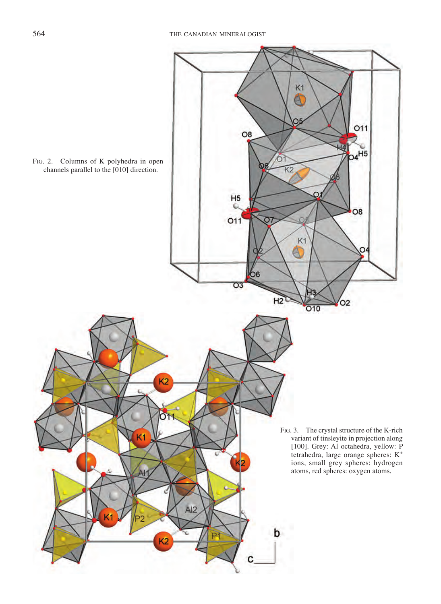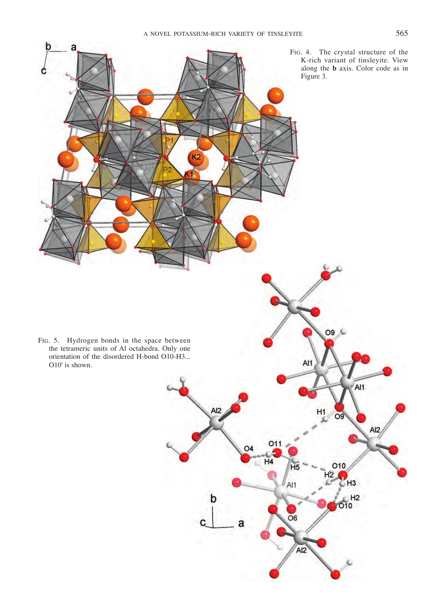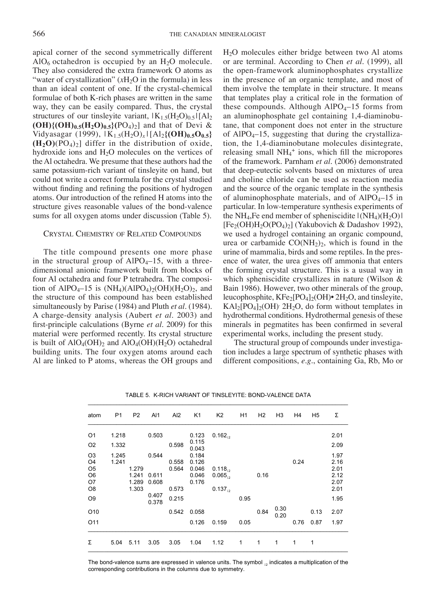apical corner of the second symmetrically different  $AlO<sub>6</sub>$  octahedron is occupied by an  $H<sub>2</sub>O$  molecule. They also considered the extra framework O atoms as "water of crystallization" (*x*H<sub>2</sub>O in the formula) in less than an ideal content of one. If the crystal-chemical formulae of both K-rich phases are written in the same way, they can be easily compared. Thus, the crystal structures of our tinsleyite variant,  $|K_{1.5}(H_2O)_{0.5}|$  [Al<sub>2</sub>  $(OH){(OH)_{0.5}(H_2O)_{0.5}}(PO_4)_2$  and that of Devi & Vidyasagar (1999),  $|K_{1.5}(H_2O)_x|$   $|Al_{2}$ {(OH)<sub>0.5</sub>O<sub>0.5</sub>}  $(H_2O)(PO_4)_2$ ] differ in the distribution of oxide, hydroxide ions and  $H_2O$  molecules on the vertices of the Al octahedra. We presume that these authors had the same potassium-rich variant of tinsleyite on hand, but could not write a correct formula for the crystal studied without finding and refining the positions of hydrogen atoms. Our introduction of the refined H atoms into the structure gives reasonable values of the bond-valence sums for all oxygen atoms under discussion (Table 5).

## Crystal Chemistry of Related Compounds

The title compound presents one more phase in the structural group of  $AIPO<sub>4</sub>-15$ , with a threedimensional anionic framework built from blocks of four Al octahedra and four P tetrahedra. The composition of AlPO<sub>4</sub>–15 is  $(NH<sub>4</sub>)(AlPO<sub>4</sub>)<sub>2</sub>(OH)(H<sub>2</sub>O)<sub>2</sub>$ , and the structure of this compound has been established simultaneously by Parise (1984) and Pluth *et al.* (1984). A charge-density analysis (Aubert *et al.* 2003) and first-principle calculations (Byrne *et al.* 2009) for this material were performed recently. Its crystal structure is built of  $AlO_4(OH)_2$  and  $AlO_4(OH)(H_2O)$  octahedral building units. The four oxygen atoms around each Al are linked to P atoms, whereas the OH groups and H2O molecules either bridge between two Al atoms or are terminal. According to Chen *et al.* (1999), all the open-framework aluminophosphates crystallize in the presence of an organic template, and most of them involve the template in their structure. It means that templates play a critical role in the formation of these compounds. Although  $AIPO<sub>4</sub>$ –15 forms from an aluminophosphate gel containing 1,4-diaminobutane, that component does not enter in the structure of AlPO<sub>4</sub> $-15$ , suggesting that during the crystallization, the 1,4-diaminobutane molecules disintegrate, releasing small NH<sub>4</sub><sup>+</sup> ions, which fill the micropores of the framework. Parnham *et al.* (2006) demonstrated that deep-eutectic solvents based on mixtures of urea and choline chloride can be used as reaction media and the source of the organic template in the synthesis of aluminophosphate materials, and of  $AIPO<sub>4</sub>-15$  in particular. In low-temperature synthesis experiments of the NH<sub>4</sub>, Fe end member of spheniscidite  $|(NH_4)(H_2O)|$  $[Fe<sub>2</sub>(OH)H<sub>2</sub>O(PO<sub>4</sub>)<sub>2</sub>]$  (Yakubovich & Dadashov 1992), we used a hydrogel containing an organic compound, urea or carbamide  $CO(NH<sub>2</sub>)<sub>2</sub>$ , which is found in the urine of mammalia, birds and some reptiles. In the presence of water, the urea gives off ammonia that enters the forming crystal structure. This is a usual way in which spheniscidite crystallizes in nature (Wilson & Bain 1986). However, two other minerals of the group, leucophosphite,  $KF_{2}[PO_{4}]_{2}(OH)\bullet 2H_{2}O$ , and tinsleyite,  $KAl<sub>2</sub>[PO<sub>4</sub>]<sub>2</sub>(OH)$ <sup>2</sup>H<sub>2</sub>O, do form without templates in hydrothermal conditions. Hydrothermal genesis of these minerals in pegmatites has been confirmed in several experimental works, including the present study.

The structural group of compounds under investigation includes a large spectrum of synthetic phases with different compositions, *e.g*., containing Ga, Rb, Mo or

| atom                             | P <sub>1</sub> | P <sub>2</sub> | AI1            | AI2   | K <sub>1</sub> | K <sub>2</sub> | H1   | H <sub>2</sub> | H <sub>3</sub> | H <sub>4</sub> | H <sub>5</sub> | Σ            |
|----------------------------------|----------------|----------------|----------------|-------|----------------|----------------|------|----------------|----------------|----------------|----------------|--------------|
|                                  |                |                |                |       |                |                |      |                |                |                |                |              |
| O <sub>1</sub>                   | 1.218          |                | 0.503          |       | 0.123          | $0.162_{12}$   |      |                |                |                |                | 2.01         |
| O <sub>2</sub>                   | 1.332          |                |                | 0.598 | 0.115<br>0.043 |                |      |                |                |                |                | 2.09         |
| O <sub>3</sub><br>O <sub>4</sub> | 1.245<br>1.241 |                | 0.544          | 0.558 | 0.184<br>0.126 |                |      |                |                | 0.24           |                | 1.97<br>2.16 |
| O <sub>5</sub>                   |                | 1.279          |                | 0.564 | 0.046          | $0.118_{12}$   |      |                |                |                |                | 2.01         |
| O <sub>6</sub><br>O7             |                | 1.241<br>1.289 | 0.611<br>0.608 |       | 0.046<br>0.176 | $0.065_{12}$   |      | 0.16           |                |                |                | 2.12<br>2.07 |
| O8                               |                | 1.303          |                | 0.573 |                | $0.137_{12}$   |      |                |                |                |                | 2.01         |
| O <sub>9</sub>                   |                |                | 0.407<br>0.378 | 0.215 |                |                | 0.95 |                |                |                |                | 1.95         |
| O <sub>10</sub>                  |                |                |                | 0.542 | 0.058          |                |      | 0.84           | 0.30<br>0.20   |                | 0.13           | 2.07         |
| O11                              |                |                |                |       | 0.126          | 0.159          | 0.05 |                |                | 0.76           | 0.87           | 1.97         |
| Σ                                | 5.04           | 5.11           | 3.05           | 3.05  | 1.04           | 1.12           | 1    | 1              | 1              | 1              | 1              |              |

TABLE 5. K-RICH VARIANT OF TINSLEYITE: BOND-VALENCE DATA

The bond-valence sums are expressed in valence units. The symbol  $_{12}$  indicates a multiplication of the corresponding contributions in the columns due to symmetry.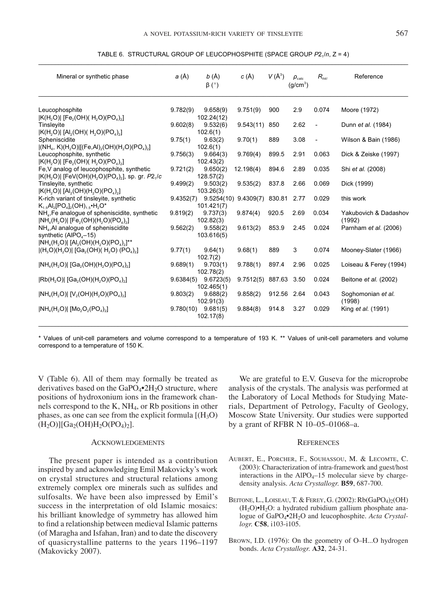|  |  |  | TABLE 6. STRUCTURAL GROUP OF LEUCOPHOSPHITE (SPACE GROUP P2, /n, Z = 4) |  |  |
|--|--|--|-------------------------------------------------------------------------|--|--|
|--|--|--|-------------------------------------------------------------------------|--|--|

| Mineral or synthetic phase                                                                                                                             | a (Å)    | $b(\AA)$<br>$\beta$ (°)                            | $c(\AA)$              | $V(\AA^3)$  | $\rho_{\text{calc}}$<br>(q/cm <sup>3</sup> ) | $R_{hkl}$                | Reference                       |
|--------------------------------------------------------------------------------------------------------------------------------------------------------|----------|----------------------------------------------------|-----------------------|-------------|----------------------------------------------|--------------------------|---------------------------------|
| Leucophosphite<br>$ K(H, O) $ [Fe <sub>2</sub> (OH)( $H$ <sub>2</sub> O)(PO <sub>4</sub> ) <sub>2</sub> ]                                              | 9.782(9) | 9.658(9)<br>102.24(12)                             | 9.751(9)              | 900         | 2.9                                          | 0.074                    | Moore (1972)                    |
| Tinsleyite<br>$ K(H, O) $ [Al <sub>2</sub> (OH)( H <sub>2</sub> O)(PO <sub>4</sub> ) <sub>2</sub> ]                                                    | 9.602(8) | 9.532(6)<br>102.6(1)                               | 9.543(11)             | 850         | 2.62                                         | $\overline{\phantom{a}}$ | Dunn et al. (1984)              |
| Spheniscidite<br>$[(NH_4, K)(H_2O)][(Fe, Al)_2(OH)(H_2O)(PO_4)_2]$                                                                                     | 9.75(1)  | 9.63(2)<br>102.6(1)                                | 9.70(1)               | 889         | 3.08                                         | $\overline{\phantom{a}}$ | Wilson & Bain (1986)            |
| Leucophosphite, synthetic<br>$ K(H, O) $ [Fe <sub>2</sub> (OH)( $H, O$ )( $PO_4$ ) <sub>2</sub> ]                                                      | 9.756(3) | 9.664(3)<br>102.43(2)                              | 9.769(4)              | 899.5       | 2.91                                         | 0.063                    | Dick & Zeiske (1997)            |
| Fe,V analog of leucophosphite, synthetic<br>$ K(H, O) $ [FeV(OH)(H <sub>2</sub> O)(PO <sub>4</sub> ) <sub>2</sub> ], sp. gr. P2 <sub>1</sub> /c        | 9.721(2) | 9.650(2)<br>128.57(2)                              | 12.198(4)             | 894.6       | 2.89                                         | 0.035                    | Shi et al. (2008)               |
| Tinsleyite, synthetic<br>$ K(H, O) $ [AI <sub>2</sub> (OH)(H <sub>2</sub> O)(PO <sub>4</sub> ) <sub>2</sub> ]                                          | 9.499(2) | 9.503(2)<br>103.26(3)                              | 9.535(2)              | 837.8       | 2.66                                         | 0.069                    | Dick (1999)                     |
| K-rich variant of tinsleyite, synthetic<br>$K_1$ <sub>s</sub> Al <sub>2</sub> $[PO_4]$ <sub>2</sub> $(OH)$ <sub>1 s</sub> •H <sub>2</sub> $O^*$        |          | $9.4352(7)$ $9.5254(10)$ $9.4309(7)$<br>101.421(7) |                       | 830.81      | 2.77                                         | 0.029                    | this work                       |
| NH <sub>4</sub> , Fe analogue of spheniscidite, synthetic<br>$[NH_4(H, O)]$ [Fe <sub>2</sub> (OH)(H <sub>2</sub> O)(PO <sub>4</sub> ) <sub>2</sub> ]   | 9.819(2) | 9.737(3)<br>102.82(3)                              | 9.874(4)              | 920.5       | 2.69                                         | 0.034                    | Yakubovich & Dadashov<br>(1992) |
| NH <sub>4</sub> , AI analogue of spheniscidite<br>synthetic (AIPO $_4$ –15)                                                                            | 9.562(2) | 9.558(2)<br>103.616(5)                             | 9.613(2)              | 853.9       | 2.45                                         | 0.024                    | Parnham et al. (2006)           |
| $[NH_4(H, O)]$ $[Al_2(OH)(H, O)(PO_4)_2]$ <sup>**</sup><br>$ (H_3O)(H_2O) $ [Ga <sub>2</sub> (OH)( H <sub>2</sub> O) (PO <sub>4</sub> ) <sub>2</sub> ] | 9.77(1)  | 9.64(1)<br>102.7(2)                                | 9.68(1)               | 889         | 3                                            | 0.074                    | Mooney-Slater (1966)            |
| $[NH_4(H, O)]$ [Ga <sub>2</sub> (OH)(H <sub>2</sub> O)(PO <sub>4</sub> ) <sub>2</sub> ]                                                                | 9.689(1) | 9.703(1)<br>102.78(2)                              | 9.788(1)              | 897.4       | 2.96                                         | 0.025                    | Loiseau & Ferey (1994)          |
| $ Rb(H, O) $ [Ga, (OH)(H, O)(PO <sub>4</sub> ) <sub>2</sub> ]                                                                                          |          | $9.6384(5)$ $9.6723(5)$<br>102.465(1)              | 9.7512(5) 887.63 3.50 |             |                                              | 0.024                    | Beitone et al. (2002)           |
| $[NH_4(H, O)] [V_2(OH)(H, O)(PO_4)_2]$                                                                                                                 | 9.803(2) | 9.688(2)<br>102.91(3)                              | 9.858(2)              | 912.56 2.64 |                                              | 0.043                    | Soghomonian et al.<br>(1998)    |
| $[NH_4(H, O)] [Mo_2O_2(PO_4)_2]$                                                                                                                       |          | $9.780(10)$ $9.681(5)$<br>102.17(8)                | 9.884(8)              | 914.8       | 3.27                                         | 0.029                    | King et al. (1991)              |

\* Values of unit-cell parameters and volume correspond to a temperature of 193 K. \*\* Values of unit-cell parameters and volume correspond to a temperature of 150 K.

V (Table 6). All of them may formally be treated as derivatives based on the  $GaPO<sub>4</sub>•2H<sub>2</sub>O$  structure, where positions of hydroxonium ions in the framework channels correspond to the K, NH4, or Rb positions in other phases, as one can see from the explicit formula  $[(H_3O)$  $(H_2O)$ ][Ga<sub>2</sub>(OH)H<sub>2</sub>O(PO<sub>4</sub>)<sub>2</sub>].

#### Acknowledgements

The present paper is intended as a contribution inspired by and acknowledging Emil Makovicky's work on crystal structures and structural relations among extremely complex ore minerals such as sulfides and sulfosalts. We have been also impressed by Emil's success in the interpretation of old Islamic mosaics: his brilliant knowledge of symmetry has allowed him to find a relationship between medieval Islamic patterns (of Maragha and Isfahan, Iran) and to date the discovery of quasicrystalline patterns to the years 1196–1197 (Makovicky 2007).

We are grateful to E.V. Guseva for the microprobe analysis of the crystals. The analysis was performed at the Laboratory of Local Methods for Studying Materials, Department of Petrology, Faculty of Geology, Moscow State University. Our studies were supported by a grant of RFBR N 10–05–01068–a.

#### **REFERENCES**

- Aubert, E., Porcher, F., Souhassou, M. & Lecomte, C. (2003): Characterization of intra-framework and guest/host interactions in the  $AIPO<sub>4</sub>$ –15 molecular sieve by chargedensity analysis. *Acta Crystallogr.* **B59**, 687-700.
- BEITONE, L., LOISEAU, T. & FEREY, G. (2002): Rb(GaPO<sub>4</sub>)<sub>2</sub>(OH)  $(H<sub>2</sub>O) \cdot H<sub>2</sub>O$ : a hydrated rubidium gallium phosphate analogue of GaPO4•2H2O and leucophosphite. *Acta Crystallogr.* **C58**, i103-i105.
- Brown, I.D. (1976): On the geometry of O–H...O hydrogen bonds. *Acta Crystallogr.* **A32**, 24-31.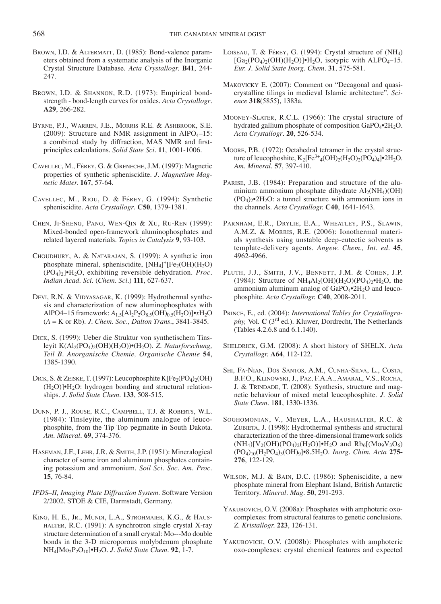- BROWN, I.D. & ALTERMATT, D. (1985): Bond-valence parameters obtained from a systematic analysis of the Inorganic Crystal Structure Database. *Acta Crystallogr.* **B41**, 244- 247.
- BROWN, I.D. & SHANNON, R.D. (1973): Empirical bondstrength - bond-length curves for oxides. *Acta Crystallogr*. **A29**, 266-282.
- Byrne, P.J., Warren, J.E., Morris R.E. & Ashbrook, S.E. (2009): Structure and NMR assignment in AlPO<sub>4</sub> $-15$ : a combined study by diffraction, MAS NMR and firstprinciples calculations. *Solid State Sci.* **11**, 1001-1006.
- Cavellec, M., Férey, G. & Greneche, J.M. (1997): Magnetic properties of synthetic spheniscidite. *J. Magnetism Magnetic Mater.* **167**, 57-64.
- Cavellec, M., Riou, D. & Férey, G. (1994): Synthetic spheniscidite. *Acta Crystallogr*. **C50**, 1379-1381.
- Chen, Ji-Sheng, Pang, Wen-Qin & Xu, Ru-Ren (1999): Mixed-bonded open-framework aluminophosphates and related layered materials. *Topics in Catalysis* **9**, 93-103.
- Choudhury, A. & Natarajan, S. (1999): A synthetic iron phosphate mineral, spheniscidite, [NH<sub>4</sub>]<sup>+</sup>[Fe<sub>2</sub>(OH)(H<sub>2</sub>O) (PO4)2]•H2O, exhibiting reversible dehydration. *Proc. Indian Acad. Sci.* (*Chem. Sci*.) **111**, 627-637.
- DEVI, R.N. & VIDYASAGAR, K. (1999): Hydrothermal synthesis and characterization of new aluminophosphates with AlPO4–15 framework: *A*1.5[Al2P2O8.5(OH)0.5(H2O)]•*x*H2O (*A* = K or Rb). *J. Chem. Soc*., *Dalton Trans*., 3841-3845.
- Dick, S. (1999): Ueber die Struktur von synthetischem Tinsleyit K(Al2(PO4)2(OH)(H2O))•(H2O). *Z. Naturforschung, Teil B. Anorganische Chemie, Organische Chemie* **54**, 1385-1390.
- DICK, S. & ZEISKE, T. (1997): Leucophosphite  $K[Fe<sub>2</sub>(PO<sub>4</sub>)<sub>2</sub>(OH)$  $(H<sub>2</sub>O)|<sup>•</sup>H<sub>2</sub>O$ : hydrogen bonding and structural relationships. *J. Solid State Chem.* **133**, 508-515.
- Dunn, P. J., Rouse, R.C., Campbell, T.J. & Roberts, W.L. (1984): Tinsleyite, the aluminum analogue of leucophosphite, from the Tip Top pegmatite in South Dakota. *Am. Mineral.* **69**, 374-376.
- Haseman, J.F., Lehr, J.R. & Smith, J.P. (1951): Mineralogical character of some iron and aluminum phosphates containing potassium and ammonium. *Soil Sci. Soc. Am. Proc.* **15**, 76-84.
- *IPDS–II, Imaging Plate Diffraction System*. Software Version 2/2002. STOE & CIE, Darmstadt, Germany.
- King, H. E., Jr., Mundi, L.A., Strohmaier, K.G., & Haushalter, R.C. (1991): A synchrotron single crystal X-ray structure determination of a small crystal: Mo---Mo double bonds in the 3-D microporous molybdenum phosphate NH4[Mo2P2O10]•H2O. *J. Solid State Chem.* **92**, 1-7.
- Loiseau, T. & Férey, G. (1994): Crystal structure of (NH4)  $[Ga_2(PO_4)_2(OH)(H_2O)]$ •H<sub>2</sub>O, isotypic with ALPO<sub>4</sub>–15. *Eur. J. Solid State Inorg. Chem*. **31**, 575-581.
- Makovicky E. (2007): Comment on "Decagonal and quasicrystalline tilings in medieval Islamic architecture". *Science* **318**(5855), 1383a.
- Mooney-Slater, R.C.L. (1966): The crystal structure of hydrated gallium phosphate of composition GaPO4•2H2O. *Acta Crystallogr*. **20**, 526-534.
- Moore, P.B. (1972): Octahedral tetramer in the crystal structure of leucophoshite,  $K_2[Fe^{3+}_4(OH)_2(H_2O)_2(PO_4)_4]$ •2H<sub>2</sub>O. *Am. Mineral.* **57**, 397-410.
- PARISE, J.B. (1984): Preparation and structure of the aluminium ammonium phosphate dihydrate  $Al_2(NH_4)(OH)$  $(PO_4)_2 \cdot 2H_2O$ : a tunnel structure with ammonium ions in the channels. *Acta Crystallogr.* **C40**, 1641-1643.
- Parnham, E.R., Drylie, E.A., Wheatley, P.S., Slawin, A.M.Z. & Morris, R.E. (2006): Ionothermal materials synthesis using unstable deep-eutectic solvents as template-delivery agents. *Angew. Chem., Int. ed.* **45**, 4962-4966.
- PLUTH, J.J., SMITH, J.V., BENNETT, J.M. & COHEN, J.P. (1984): Structure of  $NH_4Al_2(OH)(H_2O)(PO_4)_2 \cdot H_2O$ , the ammonium aluminum analog of  $GaPO_4 \cdot 2H_2O$  and leucophosphite. *Acta Crystallogr.* **C40**, 2008-2011.
- Prince, E., ed. (2004): *International Tables for Crystallography,* Vol. **C** (3rd ed.). Kluwer, Dordrecht, The Netherlands (Tables 4.2.6.8 and 6.1.140).
- Sheldrick, G.M. (2008): A short history of SHELX. *Acta Crystallogr.* **A64**, 112-122.
- Shi, Fa-Nian, Dos Santos, A.M., Cunha-Silva, L., Costa, B.F.O., Klinowski, J., Paz, F.A.A., Amaral, V.S., Rocha, J. & TRINDADE, T. (2008): Synthesis, structure and magnetic behaviour of mixed metal leucophosphite. *J. Solid State Chem*. 1**81**, 1330-1336.
- Soghomonian, V., Meyer, L.A., Haushalter, R.C. & ZUBIETA, J. (1998): Hydrothermal synthesis and structural characterization of the three-dimensional framework solids  $(NH_4)[V_2(OH)(PO_4)_2(H_2O)] \bullet H_2O$  and  $Rb_6[(Mo_9V_3O_6)]$ (PO4)10(H2PO4)3(OH)9]•8.5H2O. *Inorg. Chim. Acta* **275- 276**, 122-129.
- Wilson, M.J. & Bain, D.C. (1986): Spheniscidite, a new phosphate mineral from Elephant Island, British Antarctic Territory. *Mineral. Mag.* **50**, 291-293.
- YAKUBOVICH, O.V. (2008a): Phosphates with amphoteric oxocomplexes: from structural features to genetic conclusions. *Z. Kristallogr.* **223**, 126-131.
- Yakubovich, O.V. (2008b): Phosphates with amphoteric oxo-complexes: crystal chemical features and expected